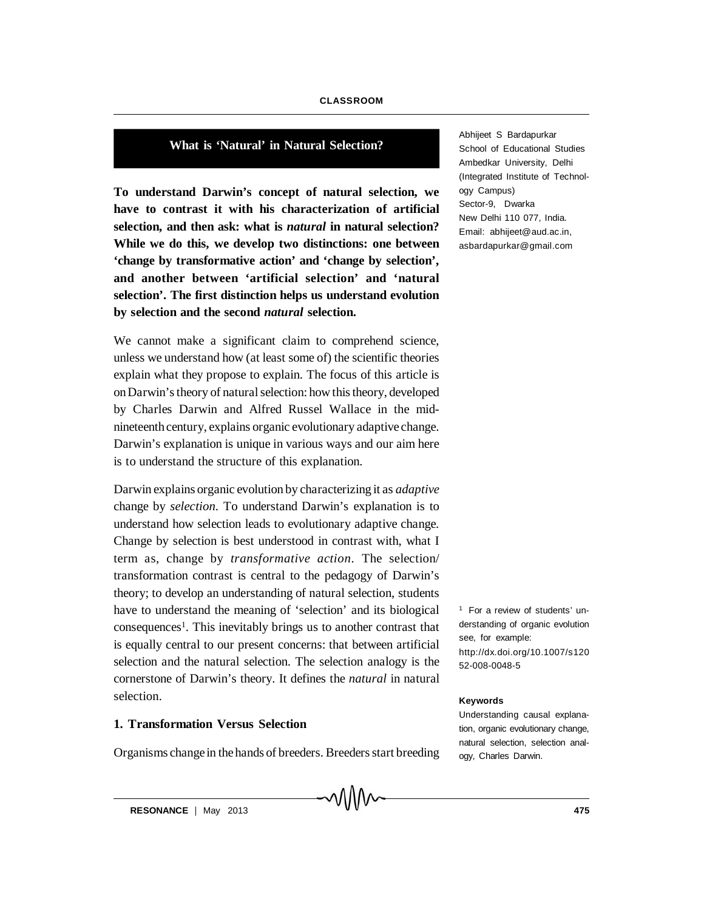# **What is 'Natural' in Natural Selection?**

**To understand Darwin's concept of natural selection, we have to contrast it with his characterization of artificial selection, and then ask: what is** *natural* **in natural selection? While we do this, we develop two distinctions: one between 'change by transformative action' and 'change by selection', and another between 'artificial selection' and 'natural selection'. The first distinction helps us understand evolution by selection and the second** *natural* **selection.**

We cannot make a significant claim to comprehend science, unless we understand how (at least some of) the scientific theories explain what they propose to explain. The focus of this article is on Darwin's theory of natural selection: how this theory, developed by Charles Darwin and Alfred Russel Wallace in the midnineteenth century, explains organic evolutionary adaptive change. Darwin's explanation is unique in various ways and our aim here is to understand the structure of this explanation.

Darwin explains organic evolution by characterizing it as *adaptive* change by *selection*. To understand Darwin's explanation is to understand how selection leads to evolutionary adaptive change. Change by selection is best understood in contrast with, what I term as, change by *transformative action*. The selection/ transformation contrast is central to the pedagogy of Darwin's theory; to develop an understanding of natural selection, students have to understand the meaning of 'selection' and its biological consequences1. This inevitably brings us to another contrast that is equally central to our present concerns: that between artificial selection and the natural selection. The selection analogy is the cornerstone of Darwin's theory. It defines the *natural* in natural selection.

# **1. Transformation Versus Selection**

Organisms change in the hands of breeders. Breeders start breeding

MMW **RESONANCE** | May 2013 **175** 

Abhijeet S Bardapurkar School of Educational Studies Ambedkar University, Delhi (Integrated Institute of Technology Campus) Sector-9, Dwarka New Delhi 110 077, India. Email: abhijeet@aud.ac.in, asbardapurkar@gmail.com

<sup>1</sup> For a review of students' understanding of organic evolution see, for example: http://dx.doi.org/10.1007/s120 52-008-0048-5

#### **Keywords**

Understanding causal explanation, organic evolutionary change, natural selection, selection analogy, Charles Darwin.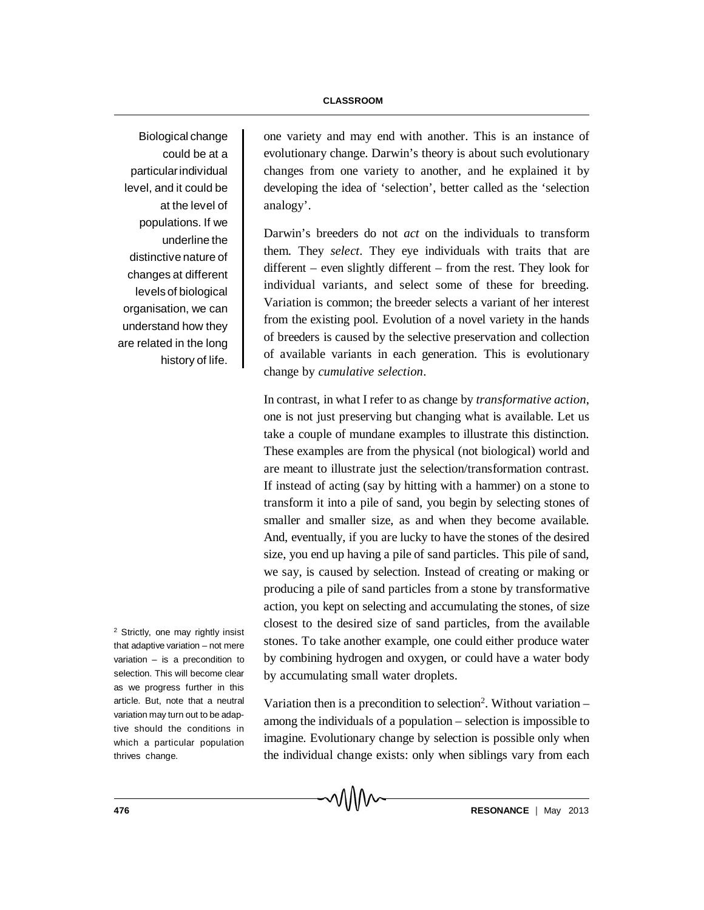Biological change could be at a particular individual level, and it could be at the level of populations. If we underline the distinctive nature of changes at different levels of biological organisation, we can understand how they are related in the long history of life.

<sup>2</sup> Strictly, one may rightly insist that adaptive variation – not mere variation – is a precondition to selection. This will become clear as we progress further in this article. But, note that a neutral variation may turn out to be adaptive should the conditions in which a particular population thrives change.

one variety and may end with another. This is an instance of evolutionary change. Darwin's theory is about such evolutionary changes from one variety to another, and he explained it by developing the idea of 'selection', better called as the 'selection analogy'.

Darwin's breeders do not *act* on the individuals to transform them. They *select*. They eye individuals with traits that are different – even slightly different – from the rest. They look for individual variants, and select some of these for breeding. Variation is common; the breeder selects a variant of her interest from the existing pool. Evolution of a novel variety in the hands of breeders is caused by the selective preservation and collection of available variants in each generation. This is evolutionary change by *cumulative selection*.

In contrast, in what I refer to as change by *transformative action*, one is not just preserving but changing what is available. Let us take a couple of mundane examples to illustrate this distinction. These examples are from the physical (not biological) world and are meant to illustrate just the selection/transformation contrast. If instead of acting (say by hitting with a hammer) on a stone to transform it into a pile of sand, you begin by selecting stones of smaller and smaller size, as and when they become available. And, eventually, if you are lucky to have the stones of the desired size, you end up having a pile of sand particles. This pile of sand, we say, is caused by selection. Instead of creating or making or producing a pile of sand particles from a stone by transformative action, you kept on selecting and accumulating the stones, of size closest to the desired size of sand particles, from the available stones. To take another example, one could either produce water by combining hydrogen and oxygen, or could have a water body by accumulating small water droplets.

Variation then is a precondition to selection<sup>2</sup>. Without variation  $$ among the individuals of a population – selection is impossible to imagine. Evolutionary change by selection is possible only when the individual change exists: only when siblings vary from each

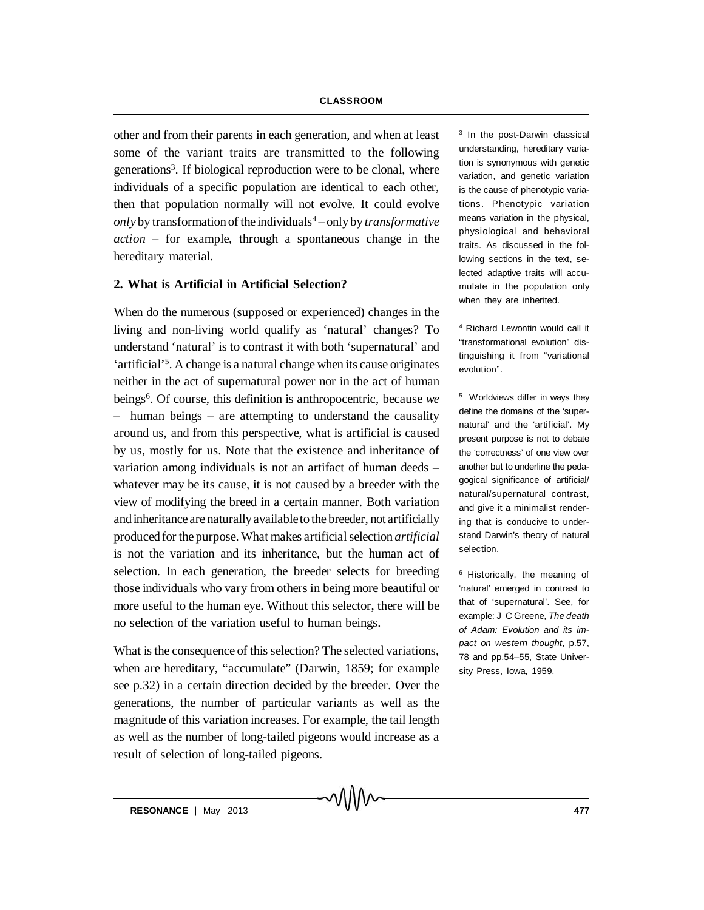other and from their parents in each generation, and when at least some of the variant traits are transmitted to the following generations3. If biological reproduction were to be clonal, where individuals of a specific population are identical to each other, then that population normally will not evolve. It could evolve *only* by transformation of the individuals<sup>4</sup> – only by *transformative action* – for example, through a spontaneous change in the hereditary material.

# **2. What is Artificial in Artificial Selection?**

When do the numerous (supposed or experienced) changes in the living and non-living world qualify as 'natural' changes? To understand 'natural' is to contrast it with both 'supernatural' and 'artificial'<sup>5</sup>. A change is a natural change when its cause originates neither in the act of supernatural power nor in the act of human beings<sup>6</sup>. Of course, this definition is anthropocentric, because we – human beings – are attempting to understand the causality around us, and from this perspective, what is artificial is caused by us, mostly for us. Note that the existence and inheritance of variation among individuals is not an artifact of human deeds – whatever may be its cause, it is not caused by a breeder with the view of modifying the breed in a certain manner. Both variation and inheritance are naturally available to the breeder, not artificially produced for the purpose. What makes artificial selection *artificial* is not the variation and its inheritance, but the human act of selection. In each generation, the breeder selects for breeding those individuals who vary from others in being more beautiful or more useful to the human eye. Without this selector, there will be no selection of the variation useful to human beings.

What is the consequence of this selection? The selected variations, when are hereditary, "accumulate" (Darwin, 1859; for example see p.32) in a certain direction decided by the breeder. Over the generations, the number of particular variants as well as the magnitude of this variation increases. For example, the tail length as well as the number of long-tailed pigeons would increase as a result of selection of long-tailed pigeons.

<sup>3</sup> In the post-Darwin classical understanding, hereditary variation is synonymous with genetic variation, and genetic variation is the cause of phenotypic variations. Phenotypic variation means variation in the physical, physiological and behavioral traits. As discussed in the following sections in the text, selected adaptive traits will accumulate in the population only when they are inherited.

<sup>4</sup> Richard Lewontin would call it "transformational evolution" distinguishing it from "variational evolution".

<sup>5</sup> Worldviews differ in ways they define the domains of the 'supernatural' and the 'artificial'. My present purpose is not to debate the 'correctness' of one view over another but to underline the pedagogical significance of artificial/ natural/supernatural contrast, and give it a minimalist rendering that is conducive to understand Darwin's theory of natural selection.

<sup>6</sup> Historically, the meaning of 'natural' emerged in contrast to that of 'supernatural'. See, for example: J C Greene, *The death of Adam: Evolution and its impact on western thought*, p.57, 78 and pp.54–55, State University Press, Iowa, 1959.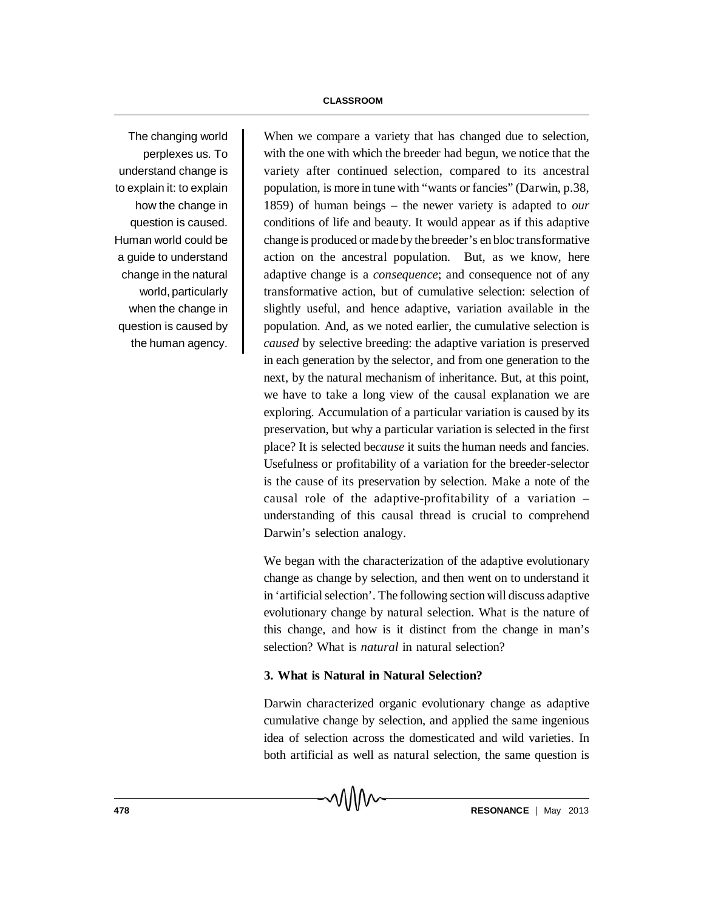The changing world perplexes us. To understand change is to explain it: to explain how the change in question is caused. Human world could be a guide to understand change in the natural world, particularly when the change in question is caused by the human agency.

When we compare a variety that has changed due to selection, with the one with which the breeder had begun, we notice that the variety after continued selection, compared to its ancestral population, is more in tune with "wants or fancies" (Darwin, p.38, 1859) of human beings – the newer variety is adapted to *our* conditions of life and beauty. It would appear as if this adaptive changeis produced or made bythe breeder's en bloc transformative action on the ancestral population. But, as we know, here adaptive change is a *consequence*; and consequence not of any transformative action, but of cumulative selection: selection of slightly useful, and hence adaptive, variation available in the population. And, as we noted earlier, the cumulative selection is *caused* by selective breeding: the adaptive variation is preserved in each generation by the selector, and from one generation to the next, by the natural mechanism of inheritance. But, at this point, we have to take a long view of the causal explanation we are exploring. Accumulation of a particular variation is caused by its preservation, but why a particular variation is selected in the first place? It is selected be*cause* it suits the human needs and fancies. Usefulness or profitability of a variation for the breeder-selector is the cause of its preservation by selection. Make a note of the causal role of the adaptive-profitability of a variation – understanding of this causal thread is crucial to comprehend Darwin's selection analogy.

We began with the characterization of the adaptive evolutionary change as change by selection, and then went on to understand it in 'artificial selection'. The following section will discuss adaptive evolutionary change by natural selection. What is the nature of this change, and how is it distinct from the change in man's selection? What is *natural* in natural selection?

## **3. What is Natural in Natural Selection?**

MM

Darwin characterized organic evolutionary change as adaptive cumulative change by selection, and applied the same ingenious idea of selection across the domesticated and wild varieties. In both artificial as well as natural selection, the same question is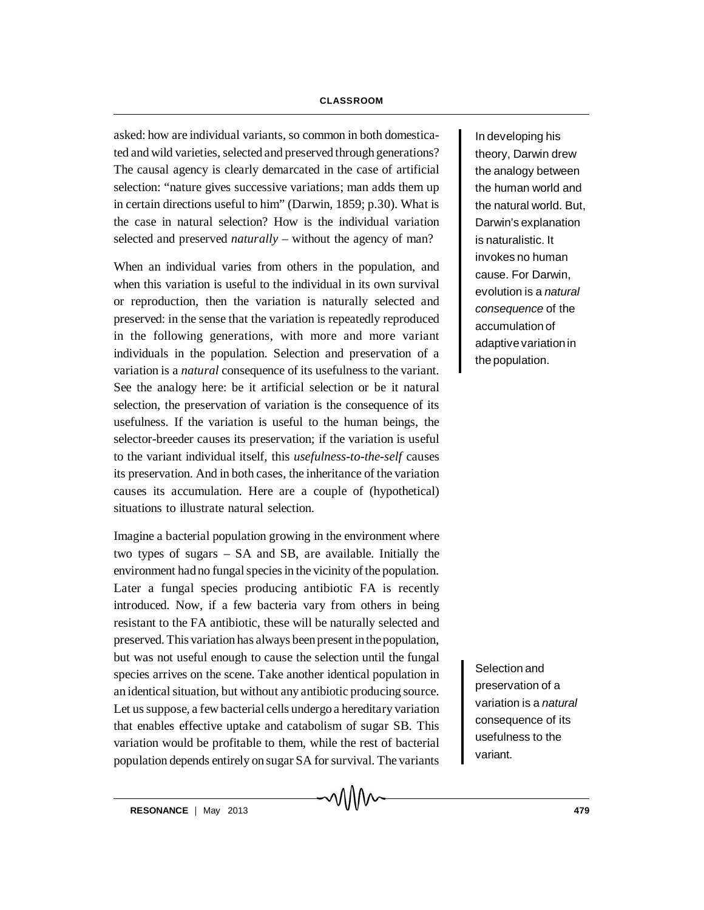asked: how are individual variants, so common in both domesticated and wild varieties, selected and preserved through generations? The causal agency is clearly demarcated in the case of artificial selection: "nature gives successive variations; man adds them up in certain directions useful to him" (Darwin, 1859; p.30). What is the case in natural selection? How is the individual variation selected and preserved *naturally* – without the agency of man?

When an individual varies from others in the population, and when this variation is useful to the individual in its own survival or reproduction, then the variation is naturally selected and preserved: in the sense that the variation is repeatedly reproduced in the following generations, with more and more variant individuals in the population. Selection and preservation of a variation is a *natural* consequence of its usefulness to the variant. See the analogy here: be it artificial selection or be it natural selection, the preservation of variation is the consequence of its usefulness. If the variation is useful to the human beings, the selector-breeder causes its preservation; if the variation is useful to the variant individual itself, this *usefulness-to-the-self* causes its preservation. And in both cases, the inheritance of the variation causes its accumulation. Here are a couple of (hypothetical) situations to illustrate natural selection.

Imagine a bacterial population growing in the environment where two types of sugars – SA and SB, are available. Initially the environment had no fungal species in the vicinity of the population. Later a fungal species producing antibiotic FA is recently introduced. Now, if a few bacteria vary from others in being resistant to the FA antibiotic, these will be naturally selected and preserved. This variation has always been present inthe population, but was not useful enough to cause the selection until the fungal species arrives on the scene. Take another identical population in an identical situation, but without any antibiotic producing source. Let us suppose, a few bacterial cells undergo a hereditary variation that enables effective uptake and catabolism of sugar SB. This variation would be profitable to them, while the rest of bacterial population depends entirely on sugar SA for survival. The variants

MAN

In developing his theory, Darwin drew the analogy between the human world and the natural world. But, Darwin's explanation is naturalistic. It invokes no human cause. For Darwin, evolution is a *natural consequence* of the accumulation of adaptive variation in the population.

Selection and preservation of a variation is a *natural* consequence of its usefulness to the variant.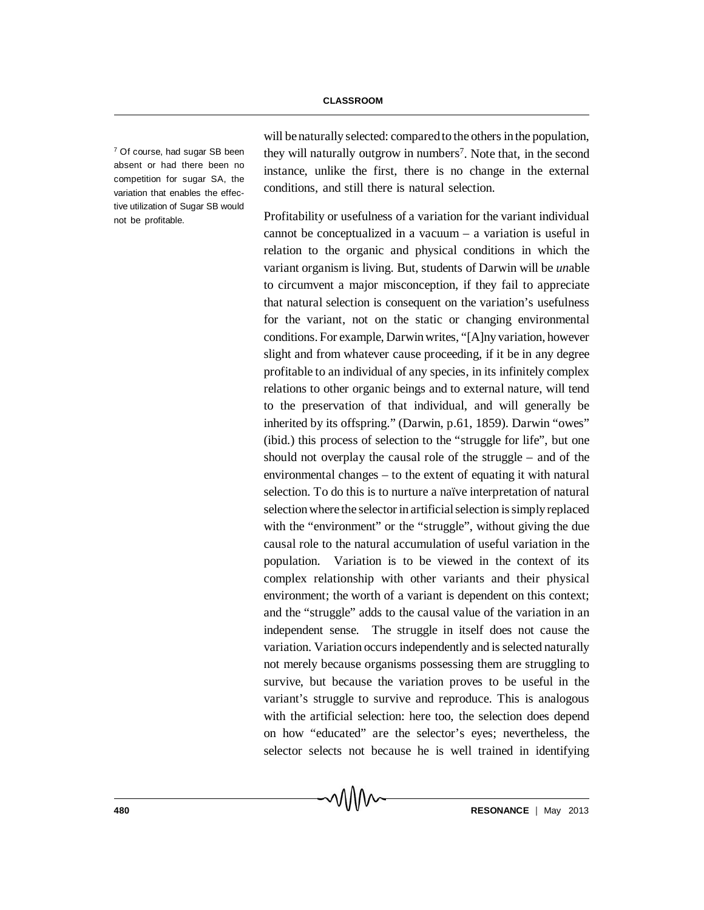<sup>7</sup> Of course, had sugar SB been absent or had there been no competition for sugar SA, the variation that enables the effective utilization of Sugar SB would not be profitable.

will be naturally selected: compared to the others in the population, they will naturally outgrow in numbers<sup>7</sup>. Note that, in the second instance, unlike the first, there is no change in the external conditions, and still there is natural selection.

Profitability or usefulness of a variation for the variant individual cannot be conceptualized in a vacuum – a variation is useful in relation to the organic and physical conditions in which the variant organism is living. But, students of Darwin will be *un*able to circumvent a major misconception, if they fail to appreciate that natural selection is consequent on the variation's usefulness for the variant, not on the static or changing environmental conditions. For example, Darwin writes, "[A]ny variation, however slight and from whatever cause proceeding, if it be in any degree profitable to an individual of any species, in its infinitely complex relations to other organic beings and to external nature, will tend to the preservation of that individual, and will generally be inherited by its offspring." (Darwin, p.61, 1859). Darwin "owes" (ibid.) this process of selection to the "struggle for life", but one should not overplay the causal role of the struggle – and of the environmental changes – to the extent of equating it with natural selection. To do this is to nurture a naïve interpretation of natural selection where the selector in artificial selection is simply replaced with the "environment" or the "struggle", without giving the due causal role to the natural accumulation of useful variation in the population. Variation is to be viewed in the context of its complex relationship with other variants and their physical environment; the worth of a variant is dependent on this context; and the "struggle" adds to the causal value of the variation in an independent sense. The struggle in itself does not cause the variation. Variation occurs independently and is selected naturally not merely because organisms possessing them are struggling to survive, but because the variation proves to be useful in the variant's struggle to survive and reproduce. This is analogous with the artificial selection: here too, the selection does depend on how "educated" are the selector's eyes; nevertheless, the selector selects not because he is well trained in identifying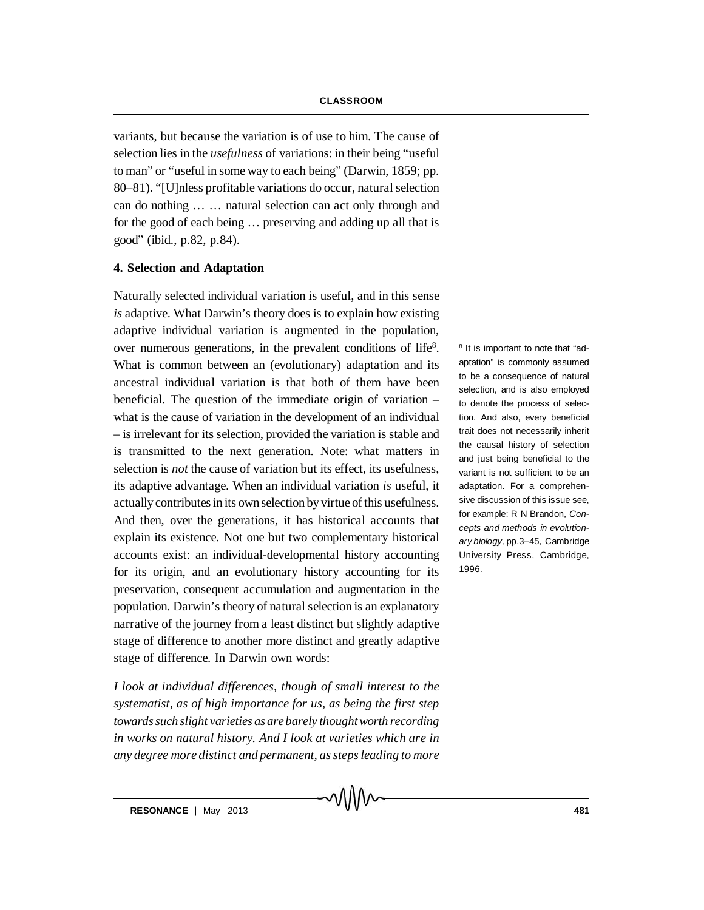variants, but because the variation is of use to him. The cause of selection lies in the *usefulness* of variations: in their being "useful to man" or "useful in some way to each being" (Darwin, 1859; pp. 80–81). "[U]nless profitable variations do occur, natural selection can do nothing … … natural selection can act only through and for the good of each being … preserving and adding up all that is good" (ibid., p.82, p.84).

### **4. Selection and Adaptation**

Naturally selected individual variation is useful, and in this sense *is* adaptive. What Darwin's theory does is to explain how existing adaptive individual variation is augmented in the population, over numerous generations, in the prevalent conditions of life8. What is common between an (evolutionary) adaptation and its ancestral individual variation is that both of them have been beneficial. The question of the immediate origin of variation – what is the cause of variation in the development of an individual – is irrelevant for its selection, provided the variation is stable and is transmitted to the next generation. Note: what matters in selection is *not* the cause of variation but its effect, its usefulness, its adaptive advantage. When an individual variation *is* useful, it actually contributes in its own selection by virtue of this usefulness. And then, over the generations, it has historical accounts that explain its existence. Not one but two complementary historical accounts exist: an individual-developmental history accounting for its origin, and an evolutionary history accounting for its preservation, consequent accumulation and augmentation in the population. Darwin's theory of natural selection is an explanatory narrative of the journey from a least distinct but slightly adaptive stage of difference to another more distinct and greatly adaptive stage of difference. In Darwin own words:

*I look at individual differences, though of small interest to the systematist, as of high importance for us, as being the first step towards such slight varieties as are barely thought worth recording in works on natural history. And I look at varieties which are in any degree more distinct and permanent, as steps leading to more*

MAN

<sup>8</sup> It is important to note that "adaptation" is commonly assumed to be a consequence of natural selection, and is also employed to denote the process of selection. And also, every beneficial trait does not necessarily inherit the causal history of selection and just being beneficial to the variant is not sufficient to be an adaptation. For a comprehensive discussion of this issue see, for example: R N Brandon, *Concepts and methods in evolutionary biology,* pp.3–45, Cambridge University Press, Cambridge, 1996.